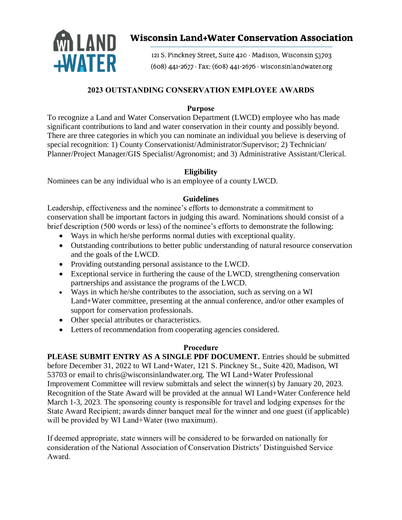

# **Wisconsin Land+Water Conservation Association**

121 S. Pinckney Street, Suite 420 · Madison, Wisconsin 53703 (608) 441-2677 · Fax: (608) 441-2676 · wisconsinlandwater.org

## **2023 OUTSTANDING CONSERVATION EMPLOYEE AWARDS**

## **Purpose**

To recognize a Land and Water Conservation Department (LWCD) employee who has made significant contributions to land and water conservation in their county and possibly beyond. There are three categories in which you can nominate an individual you believe is deserving of special recognition: 1) County Conservationist/Administrator/Supervisor; 2) Technician/ Planner/Project Manager/GIS Specialist/Agronomist; and 3) Administrative Assistant/Clerical.

## **Eligibility**

Nominees can be any individual who is an employee of a county LWCD.

## **Guidelines**

Leadership, effectiveness and the nominee's efforts to demonstrate a commitment to conservation shall be important factors in judging this award. Nominations should consist of a brief description (500 words or less) of the nominee's efforts to demonstrate the following:

- Ways in which he/she performs normal duties with exceptional quality.
- Outstanding contributions to better public understanding of natural resource conservation and the goals of the LWCD.
- Providing outstanding personal assistance to the LWCD.
- Exceptional service in furthering the cause of the LWCD, strengthening conservation partnerships and assistance the programs of the LWCD.
- Ways in which he/she contributes to the association, such as serving on a WI Land+Water committee, presenting at the annual conference, and/or other examples of support for conservation professionals.
- Other special attributes or characteristics.
- Letters of recommendation from cooperating agencies considered.

#### **Procedure**

**PLEASE SUBMIT ENTRY AS A SINGLE PDF DOCUMENT.** Entries should be submitted before December 31, 2022 to WI Land+Water, 121 S. Pinckney St., Suite 420, Madison, WI 53703 or email to chris@wisconsinlandwater.org. The WI Land+Water Professional Improvement Committee will review submittals and select the winner(s) by January 20, 2023. Recognition of the State Award will be provided at the annual WI Land+Water Conference held March 1-3, 2023. The sponsoring county is responsible for travel and lodging expenses for the State Award Recipient; awards dinner banquet meal for the winner and one guest (if applicable) will be provided by WI Land+Water (two maximum).

If deemed appropriate, state winners will be considered to be forwarded on nationally for consideration of the National Association of Conservation Districts' Distinguished Service Award.